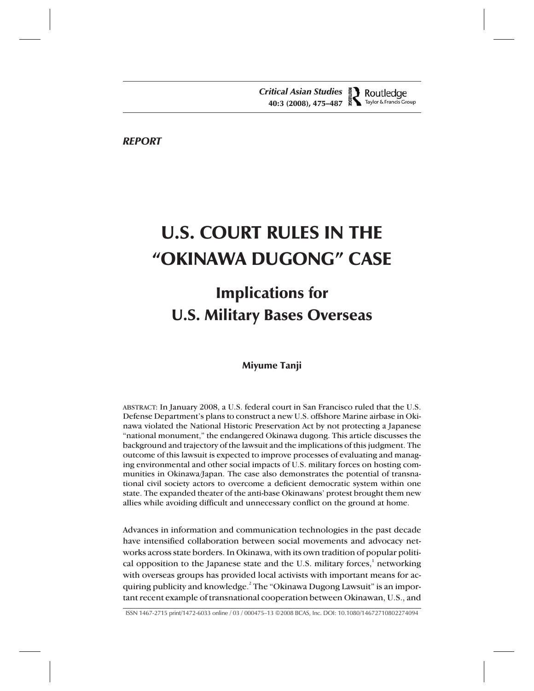*REPORT*

Miyume / "Okinawa Dugong" Case

# U.S. COURT RULES IN THE "OKINAWA DUGONG" CASE

# Implications for U.S. Military Bases Overseas

## Miyume Tanji

ABSTRACT: In January 2008, a U.S. federal court in San Francisco ruled that the U.S. Defense Department's plans to construct a new U.S. offshore Marine airbase in Okinawa violated the National Historic Preservation Act by not protecting a Japanese "national monument," the endangered Okinawa dugong. This article discusses the background and trajectory of the lawsuit and the implications of this judgment. The outcome of this lawsuit is expected to improve processes of evaluating and managing environmental and other social impacts of U.S. military forces on hosting communities in Okinawa/Japan. The case also demonstrates the potential of transnational civil society actors to overcome a deficient democratic system within one state. The expanded theater of the anti-base Okinawans' protest brought them new allies while avoiding difficult and unnecessary conflict on the ground at home.

Advances in information and communication technologies in the past decade have intensified collaboration between social movements and advocacy networks across state borders. In Okinawa, with its own tradition of popular political opposition to the Japanese state and the U.S. military forces, $1$  networking with overseas groups has provided local activists with important means for acquiring publicity and knowledge. $^2$  The "Okinawa Dugong Lawsuit" is an important recent example of transnational cooperation between Okinawan, U.S., and

ISSN 1467-2715 print/1472-6033 online / 03 / 000475–13 ©2008 BCAS, Inc. DOI: 10.1080/14672710802274094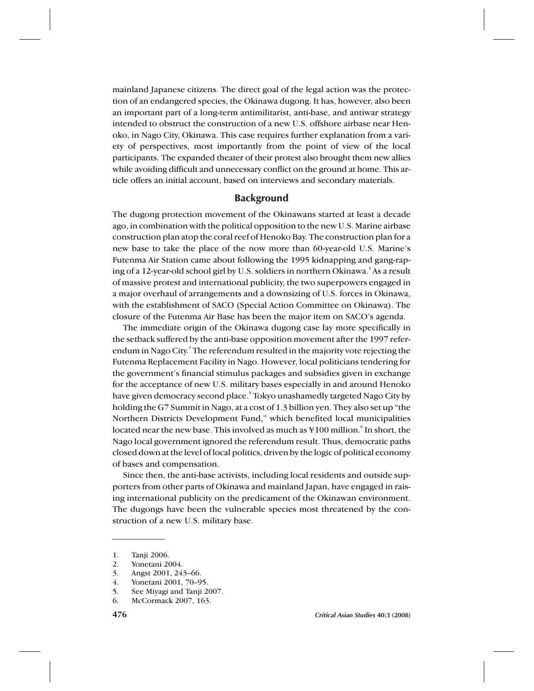mainland Japanese citizens. The direct goal of the legal action was the protection of an endangered species, the Okinawa dugong. It has, however, also been an important part of a long-term antimilitarist, anti-base, and antiwar strategy intended to obstruct the construction of a new U.S. offshore airbase near Henoko, in Nago City, Okinawa. This case requires further explanation from a variety of perspectives, most importantly from the point of view of the local participants. The expanded theater of their protest also brought them new allies while avoiding difficult and unnecessary conflict on the ground at home. This article offers an initial account, based on interviews and secondary materials.

#### **Background**

The dugong protection movement of the Okinawans started at least a decade ago, in combination with the political opposition to the new U.S. Marine airbase construction plan atop the coral reef of Henoko Bay. The construction plan for a new base to take the place of the now more than 60-year-old U.S. Marine's Futenma Air Station came about following the 1995 kidnapping and gang-raping of a 12-year-old school girl by U.S. soldiers in northern Okinawa.<sup>3</sup> As a result of massive protest and international publicity, the two superpowers engaged in a major overhaul of arrangements and a downsizing of U.S. forces in Okinawa, with the establishment of SACO (Special Action Committee on Okinawa). The closure of the Futenma Air Base has been the major item on SACO's agenda.

The immediate origin of the Okinawa dugong case lay more specifically in the setback suffered by the anti-base opposition movement after the 1997 referendum in Nago City.<sup>4</sup> The referendum resulted in the majority vote rejecting the Futenma Replacement Facility in Nago. However, local politicians tendering for the government's financial stimulus packages and subsidies given in exchange for the acceptance of new U.S. military bases especially in and around Henoko have given democracy second place.<sup>5</sup> Tokyo unashamedly targeted Nago City by holding the G7 Summit in Nago, at a cost of 1.3 billion yen. They also set up "the Northern Districts Development Fund," which benefited local municipalities located near the new base. This involved as much as  $\text{\$100}$  million.  $\text{\^{6}}$  In short, the Nago local government ignored the referendum result. Thus, democratic paths closed down at the level of local politics, driven by the logic of political economy of bases and compensation.

Since then, the anti-base activists, including local residents and outside supporters from other parts of Okinawa and mainland Japan, have engaged in raising international publicity on the predicament of the Okinawan environment. The dugongs have been the vulnerable species most threatened by the construction of a new U.S. military base.

<sup>1.</sup> Tanji 2006.

<sup>2.</sup> Yonetani 2004.

<sup>3.</sup> Angst 2001, 243–66.

<sup>4.</sup> Yonetani 2001, 70–95.

<sup>5.</sup> See Miyagi and Tanji 2007.

<sup>6.</sup> McCormack 2007, 163.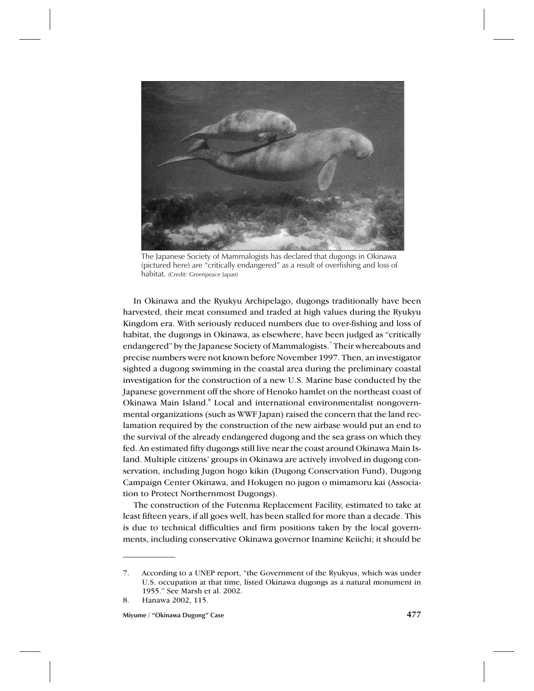

The Japanese Society of Mammalogists has declared that dugongs in Okinawa (pictured here) are "critically endangered" as a result of overfishing and loss of habitat. (Credit: Greenpeace Japan)

In Okinawa and the Ryukyu Archipelago, dugongs traditionally have been harvested, their meat consumed and traded at high values during the Ryukyu Kingdom era. With seriously reduced numbers due to over-fishing and loss of habitat, the dugongs in Okinawa, as elsewhere, have been judged as "critically endangered" by the Japanese Society of Mammalogists.7 Their whereabouts and precise numbers were not known before November 1997. Then, an investigator sighted a dugong swimming in the coastal area during the preliminary coastal investigation for the construction of a new U.S. Marine base conducted by the Japanese government off the shore of Henoko hamlet on the northeast coast of Okinawa Main Island.8 Local and international environmentalist nongovernmental organizations (such as WWF Japan) raised the concern that the land reclamation required by the construction of the new airbase would put an end to the survival of the already endangered dugong and the sea grass on which they fed. An estimated fifty dugongs still live near the coast around Okinawa Main Island. Multiple citizens' groups in Okinawa are actively involved in dugong conservation, including Jugon hogo kikin (Dugong Conservation Fund), Dugong Campaign Center Okinawa, and Hokugen no jugon o mimamoru kai (Association to Protect Northernmost Dugongs).

The construction of the Futenma Replacement Facility, estimated to take at least fifteen years, if all goes well, has been stalled for more than a decade. This is due to technical difficulties and firm positions taken by the local governments, including conservative Okinawa governor Inamine Keiichi; it should be

<sup>7.</sup> According to a UNEP report, "the Government of the Ryukyus, which was under U.S. occupation at that time, listed Okinawa dugongs as a natural monument in 1955." See Marsh et al. 2002.

<sup>8.</sup> Hanawa 2002, 115.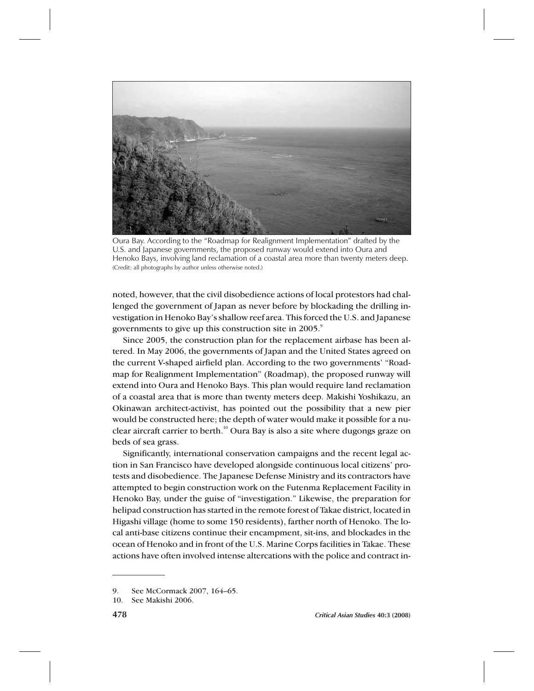

Oura Bay. According to the "Roadmap for Realignment Implementation" drafted by the U.S. and Japanese governments, the proposed runway would extend into Oura and Henoko Bays, involving land reclamation of a coastal area more than twenty meters deep. (Credit: all photographs by author unless otherwise noted.)

noted, however, that the civil disobedience actions of local protestors had challenged the government of Japan as never before by blockading the drilling investigation in Henoko Bay's shallow reef area. This forced the U.S. and Japanese governments to give up this construction site in 2005.<sup>9</sup>

Since 2005, the construction plan for the replacement airbase has been altered. In May 2006, the governments of Japan and the United States agreed on the current V-shaped airfield plan. According to the two governments' "Roadmap for Realignment Implementation" (Roadmap), the proposed runway will extend into Oura and Henoko Bays. This plan would require land reclamation of a coastal area that is more than twenty meters deep. Makishi Yoshikazu, an Okinawan architect-activist, has pointed out the possibility that a new pier would be constructed here; the depth of water would make it possible for a nuclear aircraft carrier to berth.<sup>10</sup> Oura Bay is also a site where dugongs graze on beds of sea grass.

Significantly, international conservation campaigns and the recent legal action in San Francisco have developed alongside continuous local citizens' protests and disobedience. The Japanese Defense Ministry and its contractors have attempted to begin construction work on the Futenma Replacement Facility in Henoko Bay, under the guise of "investigation." Likewise, the preparation for helipad construction has started in the remote forest of Takae district, located in Higashi village (home to some 150 residents), farther north of Henoko. The local anti-base citizens continue their encampment, sit-ins, and blockades in the ocean of Henoko and in front of the U.S. Marine Corps facilities in Takae. These actions have often involved intense altercations with the police and contract in-

<sup>9.</sup> See McCormack 2007, 164–65.

<sup>10.</sup> See Makishi 2006.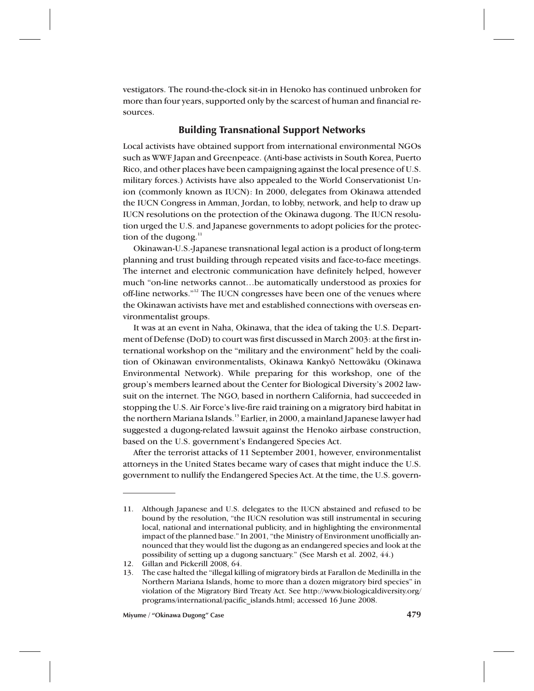vestigators. The round-the-clock sit-in in Henoko has continued unbroken for more than four years, supported only by the scarcest of human and financial resources.

#### Building Transnational Support Networks

Local activists have obtained support from international environmental NGOs such as WWF Japan and Greenpeace. (Anti-base activists in South Korea, Puerto Rico, and other places have been campaigning against the local presence of U.S. military forces.) Activists have also appealed to the World Conservationist Union (commonly known as IUCN): In 2000, delegates from Okinawa attended the IUCN Congress in Amman, Jordan, to lobby, network, and help to draw up IUCN resolutions on the protection of the Okinawa dugong. The IUCN resolution urged the U.S. and Japanese governments to adopt policies for the protection of the dugong. $11$ 

Okinawan-U.S.-Japanese transnational legal action is a product of long-term planning and trust building through repeated visits and face-to-face meetings. The internet and electronic communication have definitely helped, however much "on-line networks cannot…be automatically understood as proxies for off-line networks."<sup>12</sup> The IUCN congresses have been one of the venues where the Okinawan activists have met and established connections with overseas environmentalist groups.

It was at an event in Naha, Okinawa, that the idea of taking the U.S. Department of Defense (DoD) to court was first discussed in March 2003: at the first international workshop on the "military and the environment" held by the coalition of Okinawan environmentalists, Okinawa Kankyō Nettowāku (Okinawa Environmental Network). While preparing for this workshop, one of the group's members learned about the Center for Biological Diversity's 2002 lawsuit on the internet. The NGO, based in northern California, had succeeded in stopping the U.S. Air Force's live-fire raid training on a migratory bird habitat in the northern Mariana Islands.<sup>13</sup> Earlier, in 2000, a mainland Japanese lawyer had suggested a dugong-related lawsuit against the Henoko airbase construction, based on the U.S. government's Endangered Species Act.

After the terrorist attacks of 11 September 2001, however, environmentalist attorneys in the United States became wary of cases that might induce the U.S. government to nullify the Endangered Species Act. At the time, the U.S. govern-

<sup>11.</sup> Although Japanese and U.S. delegates to the IUCN abstained and refused to be bound by the resolution, "the IUCN resolution was still instrumental in securing local, national and international publicity, and in highlighting the environmental impact of the planned base." In 2001, "the Ministry of Environment unofficially announced that they would list the dugong as an endangered species and look at the possibility of setting up a dugong sanctuary." (See Marsh et al. 2002, 44.)

<sup>12.</sup> Gillan and Pickerill 2008, 64.

<sup>13.</sup> The case halted the "illegal killing of migratory birds at Farallon de Medinilla in the Northern Mariana Islands, home to more than a dozen migratory bird species" in violation of the Migratory Bird Treaty Act. See http://www.biologicaldiversity.org/ programs/international/pacific\_islands.html; accessed 16 June 2008.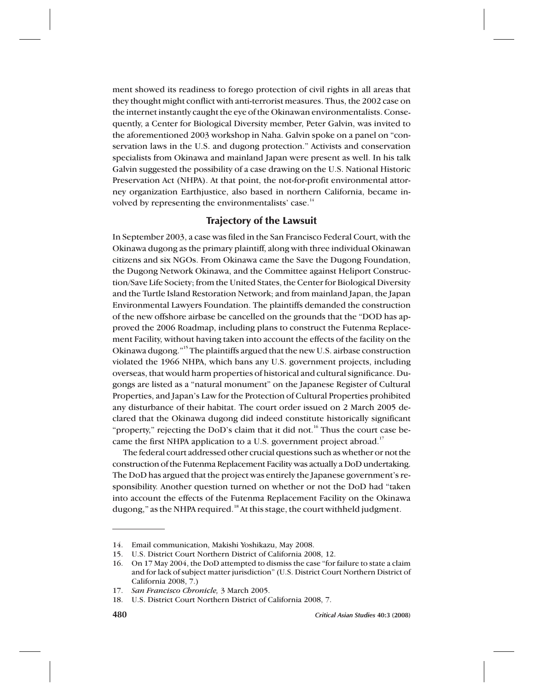ment showed its readiness to forego protection of civil rights in all areas that they thought might conflict with anti-terrorist measures. Thus, the 2002 case on the internet instantly caught the eye of the Okinawan environmentalists. Consequently, a Center for Biological Diversity member, Peter Galvin, was invited to the aforementioned 2003 workshop in Naha. Galvin spoke on a panel on "conservation laws in the U.S. and dugong protection." Activists and conservation specialists from Okinawa and mainland Japan were present as well. In his talk Galvin suggested the possibility of a case drawing on the U.S. National Historic Preservation Act (NHPA). At that point, the not-for-profit environmental attorney organization Earthjustice, also based in northern California, became involved by representing the environmentalists' case.<sup>14</sup>

### Trajectory of the Lawsuit

In September 2003, a case was filed in the San Francisco Federal Court, with the Okinawa dugong as the primary plaintiff, along with three individual Okinawan citizens and six NGOs. From Okinawa came the Save the Dugong Foundation, the Dugong Network Okinawa, and the Committee against Heliport Construction/Save Life Society; from the United States, the Center for Biological Diversity and the Turtle Island Restoration Network; and from mainland Japan, the Japan Environmental Lawyers Foundation. The plaintiffs demanded the construction of the new offshore airbase be cancelled on the grounds that the "DOD has approved the 2006 Roadmap, including plans to construct the Futenma Replacement Facility, without having taken into account the effects of the facility on the Okinawa dugong."15 The plaintiffs argued that the new U.S. airbase construction violated the 1966 NHPA, which bans any U.S. government projects, including overseas, that would harm properties of historical and cultural significance. Dugongs are listed as a "natural monument" on the Japanese Register of Cultural Properties, and Japan's Law for the Protection of Cultural Properties prohibited any disturbance of their habitat. The court order issued on 2 March 2005 declared that the Okinawa dugong did indeed constitute historically significant "property," rejecting the DoD's claim that it did not.<sup>16</sup> Thus the court case became the first NHPA application to a U.S. government project abroad.<sup>17</sup>

The federal court addressed other crucial questions such as whether or not the construction of the Futenma Replacement Facility was actually a DoD undertaking. The DoD has argued that the project was entirely the Japanese government's responsibility. Another question turned on whether or not the DoD had "taken into account the effects of the Futenma Replacement Facility on the Okinawa dugong," as the NHPA required.<sup>18</sup> At this stage, the court withheld judgment.

<sup>14.</sup> Email communication, Makishi Yoshikazu, May 2008.

<sup>15.</sup> U.S. District Court Northern District of California 2008, 12.

<sup>16.</sup> On 17 May 2004, the DoD attempted to dismiss the case "for failure to state a claim and for lack of subject matter jurisdiction" (U.S. District Court Northern District of California 2008, 7.)

<sup>17.</sup> *San Francisco Chronicle,* 3 March 2005.

<sup>18.</sup> U.S. District Court Northern District of California 2008, 7.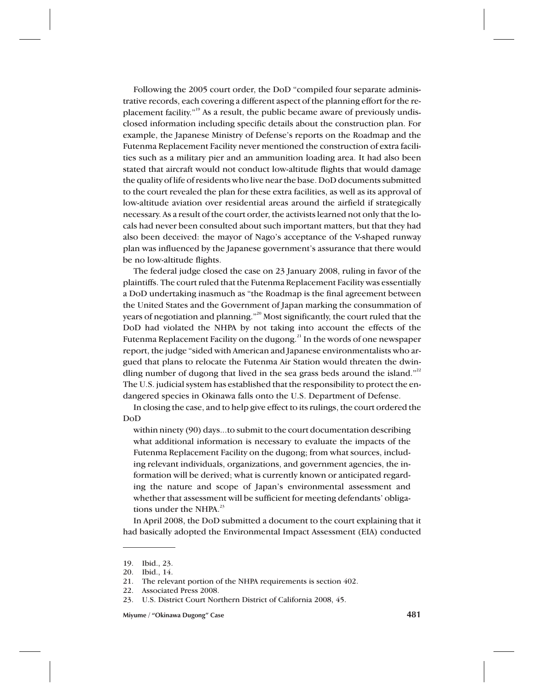Following the 2005 court order, the DoD "compiled four separate administrative records, each covering a different aspect of the planning effort for the replacement facility."19 As a result, the public became aware of previously undisclosed information including specific details about the construction plan. For example, the Japanese Ministry of Defense's reports on the Roadmap and the Futenma Replacement Facility never mentioned the construction of extra facilities such as a military pier and an ammunition loading area. It had also been stated that aircraft would not conduct low-altitude flights that would damage the quality of life of residents who live near the base. DoD documents submitted to the court revealed the plan for these extra facilities, as well as its approval of low-altitude aviation over residential areas around the airfield if strategically necessary. As a result of the court order, the activists learned not only that the locals had never been consulted about such important matters, but that they had also been deceived: the mayor of Nago's acceptance of the V-shaped runway plan was influenced by the Japanese government's assurance that there would be no low-altitude flights.

The federal judge closed the case on 23 January 2008, ruling in favor of the plaintiffs. The court ruled that the Futenma Replacement Facility was essentially a DoD undertaking inasmuch as "the Roadmap is the final agreement between the United States and the Government of Japan marking the consummation of years of negotiation and planning."<sup>20</sup> Most significantly, the court ruled that the DoD had violated the NHPA by not taking into account the effects of the Futenma Replacement Facility on the dugong.<sup>21</sup> In the words of one newspaper report, the judge "sided with American and Japanese environmentalists who argued that plans to relocate the Futenma Air Station would threaten the dwindling number of dugong that lived in the sea grass beds around the island."<sup>22</sup> The U.S. judicial system has established that the responsibility to protect the endangered species in Okinawa falls onto the U.S. Department of Defense.

In closing the case, and to help give effect to its rulings, the court ordered the DoD

within ninety (90) days...to submit to the court documentation describing what additional information is necessary to evaluate the impacts of the Futenma Replacement Facility on the dugong; from what sources, including relevant individuals, organizations, and government agencies, the information will be derived; what is currently known or anticipated regarding the nature and scope of Japan's environmental assessment and whether that assessment will be sufficient for meeting defendants' obligations under the NHPA.<sup>23</sup>

In April 2008, the DoD submitted a document to the court explaining that it had basically adopted the Environmental Impact Assessment (EIA) conducted

<sup>19.</sup> Ibid., 23.

<sup>20.</sup> Ibid., 14.

<sup>21.</sup> The relevant portion of the NHPA requirements is section 402.

<sup>22.</sup> Associated Press 2008.

<sup>23.</sup> U.S. District Court Northern District of California 2008, 45.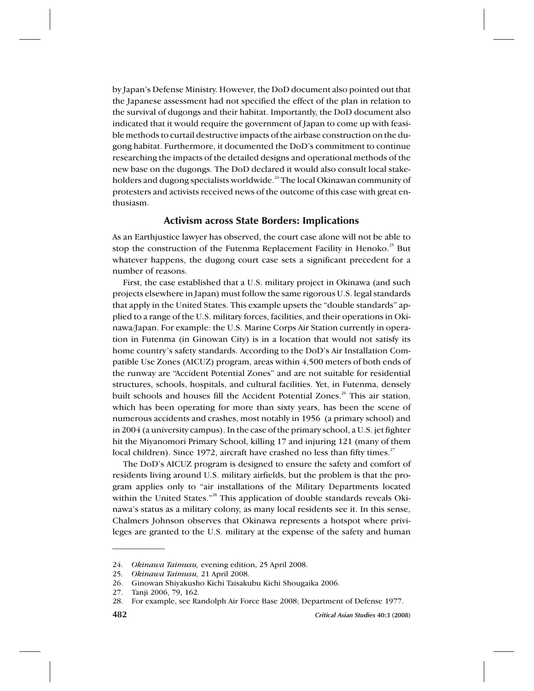by Japan's Defense Ministry. However, the DoD document also pointed out that the Japanese assessment had not specified the effect of the plan in relation to the survival of dugongs and their habitat. Importantly, the DoD document also indicated that it would require the government of Japan to come up with feasible methods to curtail destructive impacts of the airbase construction on the dugong habitat. Furthermore, it documented the DoD's commitment to continue researching the impacts of the detailed designs and operational methods of the new base on the dugongs. The DoD declared it would also consult local stakeholders and dugong specialists worldwide.<sup>24</sup> The local Okinawan community of protesters and activists received news of the outcome of this case with great enthusiasm.

#### Activism across State Borders: Implications

As an Earthjustice lawyer has observed, the court case alone will not be able to stop the construction of the Futenma Replacement Facility in Henoko.<sup>25</sup> But whatever happens, the dugong court case sets a significant precedent for a number of reasons.

First, the case established that a U.S. military project in Okinawa (and such projects elsewhere in Japan) must follow the same rigorous U.S. legal standards that apply in the United States. This example upsets the "double standards" applied to a range of the U.S. military forces, facilities, and their operations in Okinawa/Japan. For example: the U.S. Marine Corps Air Station currently in operation in Futenma (in Ginowan City) is in a location that would not satisfy its home country's safety standards. According to the DoD's Air Installation Compatible Use Zones (AICUZ) program, areas within 4,500 meters of both ends of the runway are "Accident Potential Zones" and are not suitable for residential structures, schools, hospitals, and cultural facilities. Yet, in Futenma, densely built schools and houses fill the Accident Potential Zones.<sup>26</sup> This air station, which has been operating for more than sixty years, has been the scene of numerous accidents and crashes, most notably in 1956 (a primary school) and in 2004 (a university campus). In the case of the primary school, a U.S. jet fighter hit the Miyanomori Primary School, killing 17 and injuring 121 (many of them local children). Since 1972, aircraft have crashed no less than fifty times.<sup>27</sup>

The DoD's AICUZ program is designed to ensure the safety and comfort of residents living around U.S. military airfields, but the problem is that the program applies only to "air installations of the Military Departments located within the United States."<sup>28</sup> This application of double standards reveals Okinawa's status as a military colony, as many local residents see it. In this sense, Chalmers Johnson observes that Okinawa represents a hotspot where privileges are granted to the U.S. military at the expense of the safety and human

<sup>24.</sup> *Okinawa Taimusu,* evening edition, 25 April 2008.

<sup>25.</sup> *Okinawa Taimusu,* 21 April 2008.

<sup>26.</sup> Ginowan Shiyakusho Kichi Taisakubu Kichi Shougaika 2006.

<sup>27.</sup> Tanji 2006, 79, 162.

<sup>28.</sup> For example, see Randolph Air Force Base 2008; Department of Defense 1977.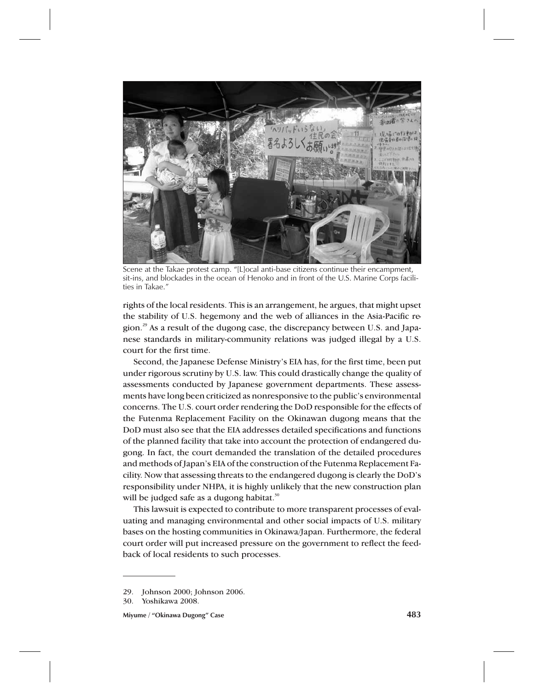

Scene at the Takae protest camp. "[L]ocal anti-base citizens continue their encampment, sit-ins, and blockades in the ocean of Henoko and in front of the U.S. Marine Corps facilities in Takae."

rights of the local residents. This is an arrangement, he argues, that might upset the stability of U.S. hegemony and the web of alliances in the Asia-Pacific region.<sup>29</sup> As a result of the dugong case, the discrepancy between U.S. and Japanese standards in military-community relations was judged illegal by a U.S. court for the first time.

Second, the Japanese Defense Ministry's EIA has, for the first time, been put under rigorous scrutiny by U.S. law. This could drastically change the quality of assessments conducted by Japanese government departments. These assessments have long been criticized as nonresponsive to the public's environmental concerns. The U.S. court order rendering the DoD responsible for the effects of the Futenma Replacement Facility on the Okinawan dugong means that the DoD must also see that the EIA addresses detailed specifications and functions of the planned facility that take into account the protection of endangered dugong. In fact, the court demanded the translation of the detailed procedures and methods of Japan's EIA of the construction of the Futenma Replacement Facility. Now that assessing threats to the endangered dugong is clearly the DoD's responsibility under NHPA, it is highly unlikely that the new construction plan will be judged safe as a dugong habitat.<sup>30</sup>

This lawsuit is expected to contribute to more transparent processes of evaluating and managing environmental and other social impacts of U.S. military bases on the hosting communities in Okinawa/Japan. Furthermore, the federal court order will put increased pressure on the government to reflect the feedback of local residents to such processes.

**Miyume / "Okinawa Dugong" Case 483**

<sup>29.</sup> Johnson 2000; Johnson 2006.

<sup>30.</sup> Yoshikawa 2008.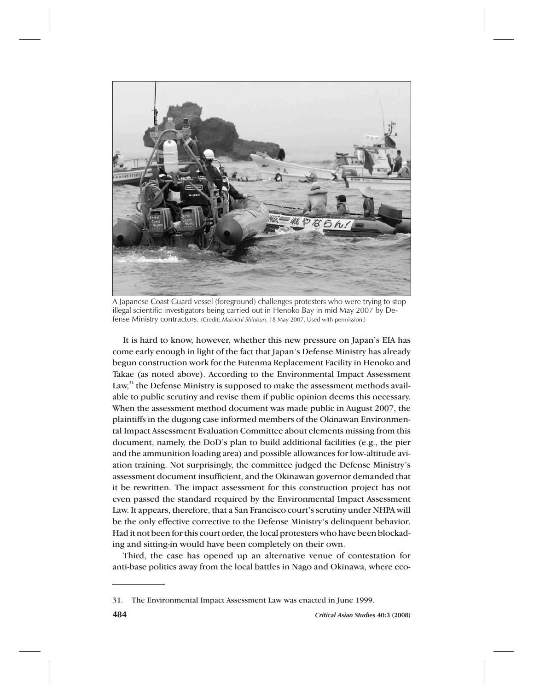

A Japanese Coast Guard vessel (foreground) challenges protesters who were trying to stop illegal scientific investigators being carried out in Henoko Bay in mid May 2007 by Defense Ministry contractors. (Credit: *Mainichi Shinbun,* 18 May 2007. Used with permission.)

It is hard to know, however, whether this new pressure on Japan's EIA has come early enough in light of the fact that Japan's Defense Ministry has already begun construction work for the Futenma Replacement Facility in Henoko and Takae (as noted above). According to the Environmental Impact Assessment Law,<sup>31</sup> the Defense Ministry is supposed to make the assessment methods available to public scrutiny and revise them if public opinion deems this necessary. When the assessment method document was made public in August 2007, the plaintiffs in the dugong case informed members of the Okinawan Environmental Impact Assessment Evaluation Committee about elements missing from this document, namely, the DoD's plan to build additional facilities (e.g., the pier and the ammunition loading area) and possible allowances for low-altitude aviation training. Not surprisingly, the committee judged the Defense Ministry's assessment document insufficient, and the Okinawan governor demanded that it be rewritten. The impact assessment for this construction project has not even passed the standard required by the Environmental Impact Assessment Law. It appears, therefore, that a San Francisco court's scrutiny under NHPA will be the only effective corrective to the Defense Ministry's delinquent behavior. Had it not been for this court order, the local protesters who have been blockading and sitting-in would have been completely on their own.

Third, the case has opened up an alternative venue of contestation for anti-base politics away from the local battles in Nago and Okinawa, where eco-

<sup>31.</sup> The Environmental Impact Assessment Law was enacted in June 1999.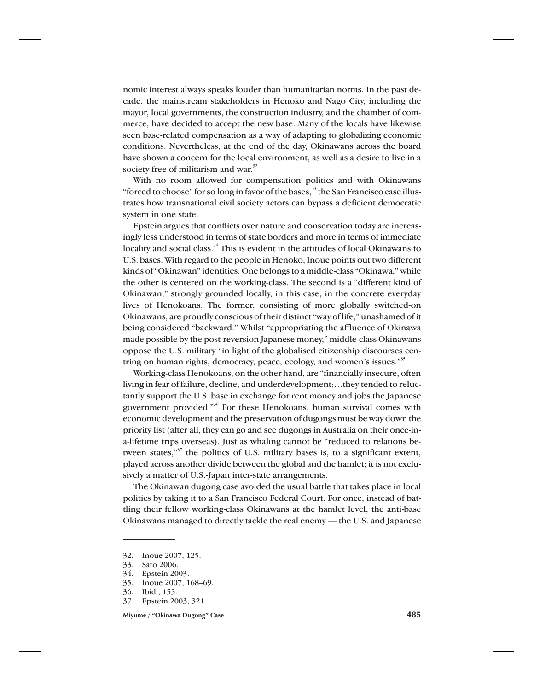nomic interest always speaks louder than humanitarian norms. In the past decade, the mainstream stakeholders in Henoko and Nago City, including the mayor, local governments, the construction industry, and the chamber of commerce, have decided to accept the new base. Many of the locals have likewise seen base-related compensation as a way of adapting to globalizing economic conditions. Nevertheless, at the end of the day, Okinawans across the board have shown a concern for the local environment, as well as a desire to live in a society free of militarism and war.<sup>32</sup>

With no room allowed for compensation politics and with Okinawans "forced to choose" for so long in favor of the bases, $33$  the San Francisco case illustrates how transnational civil society actors can bypass a deficient democratic system in one state.

Epstein argues that conflicts over nature and conservation today are increasingly less understood in terms of state borders and more in terms of immediate locality and social class.<sup>34</sup> This is evident in the attitudes of local Okinawans to U.S. bases. With regard to the people in Henoko, Inoue points out two different kinds of "Okinawan" identities. One belongs to a middle-class "Okinawa," while the other is centered on the working-class. The second is a "different kind of Okinawan," strongly grounded locally, in this case, in the concrete everyday lives of Henokoans. The former, consisting of more globally switched-on Okinawans, are proudly conscious of their distinct "way of life," unashamed of it being considered "backward." Whilst "appropriating the affluence of Okinawa made possible by the post-reversion Japanese money," middle-class Okinawans oppose the U.S. military "in light of the globalised citizenship discourses centring on human rights, democracy, peace, ecology, and women's issues."<sup>35</sup>

Working-class Henokoans, on the other hand, are "financially insecure, often living in fear of failure, decline, and underdevelopment;…they tended to reluctantly support the U.S. base in exchange for rent money and jobs the Japanese government provided."36 For these Henokoans, human survival comes with economic development and the preservation of dugongs must be way down the priority list (after all, they can go and see dugongs in Australia on their once-ina-lifetime trips overseas). Just as whaling cannot be "reduced to relations between states,"<sup>37</sup> the politics of U.S. military bases is, to a significant extent, played across another divide between the global and the hamlet; it is not exclusively a matter of U.S.-Japan inter-state arrangements.

The Okinawan dugong case avoided the usual battle that takes place in local politics by taking it to a San Francisco Federal Court. For once, instead of battling their fellow working-class Okinawans at the hamlet level, the anti-base Okinawans managed to directly tackle the real enemy — the U.S. and Japanese

**Miyume / "Okinawa Dugong" Case 485**

<sup>32.</sup> Inoue 2007, 125.

<sup>33.</sup> Sato 2006.

<sup>34.</sup> Epstein 2003.

<sup>35.</sup> Inoue 2007, 168–69.

<sup>36.</sup> Ibid., 155.

<sup>37.</sup> Epstein 2003, 321.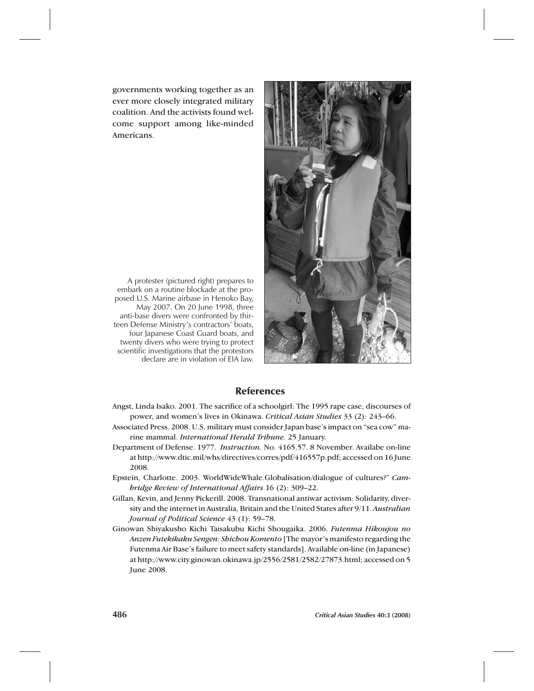governments working together as an ever more closely integrated military coalition. And the activists found welcome support among like-minded Americans.



A protester (pictured right) prepares to embark on a routine blockade at the proposed U.S. Marine airbase in Henoko Bay, May 2007. On 20 June 1998, three anti-base divers were confronted by thirteen Defense Ministry's contractors' boats, four Japanese Coast Guard boats, and twenty divers who were trying to protect scientific investigations that the protestors declare are in violation of EIA law.

## References

- Angst, Linda Isako. 2001. The sacrifice of a schoolgirl: The 1995 rape case, discourses of power, and women's lives in Okinawa. *Critical Asian Studies* 33 (2): 243–66.
- Associated Press. 2008. U.S. military must consider Japan base's impact on "sea cow" marine mammal. *International Herald Tribune.* 25 January.
- Department of Defense. 1977. *Instruction.* No. 4165.57. 8 November. Availabe on-line at http://www.dtic.mil/whs/directives/corres/pdf/416557p.pdf; accessed on 16 June 2008.
- Epstein, Charlotte. 2003. WorldWideWhale.Globalisation/dialogue of cultures?" *Cambridge Review of International Affairs* 16 (2): 309–22.
- Gillan, Kevin, and Jenny Pickerill. 2008. Transnational antiwar activism: Solidarity, diversity and the internet in Australia, Britain and the United States after 9/11. *Australian Journal of Political Science* 43 (1): 59–78.
- Ginowan Shiyakusho Kichi Taisakubu Kichi Shougaika. 2006. *Futenma Hikoujou no Anzen Futekikaku Sengen: Shichou Komento* [The mayor's manifesto regarding the Futenma Air Base's failure to meet safety standards]. Available on-line (in Japanese) at http://www.city.ginowan.okinawa.jp/2556/2581/2582/27873.html; accessed on 5 June 2008.